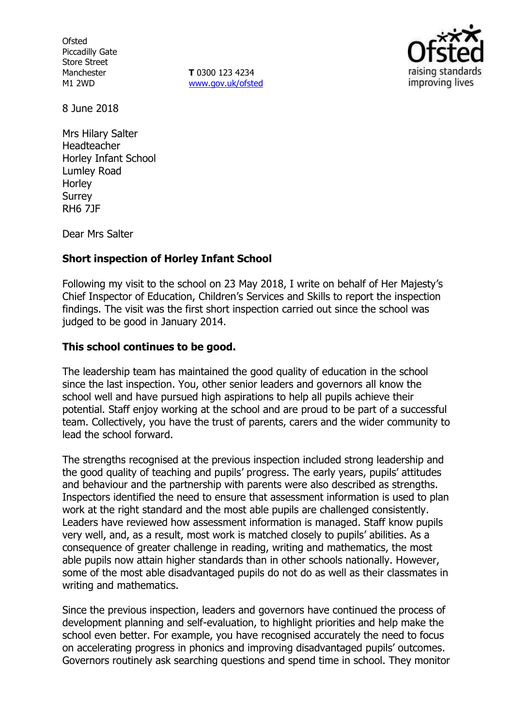**Ofsted** Piccadilly Gate Store Street Manchester M1 2WD

**T** 0300 123 4234 www.gov.uk/ofsted



8 June 2018

Mrs Hilary Salter Headteacher Horley Infant School Lumley Road **Horley** Surrey RH6 7JF

Dear Mrs Salter

# **Short inspection of Horley Infant School**

Following my visit to the school on 23 May 2018, I write on behalf of Her Majesty's Chief Inspector of Education, Children's Services and Skills to report the inspection findings. The visit was the first short inspection carried out since the school was judged to be good in January 2014.

### **This school continues to be good.**

The leadership team has maintained the good quality of education in the school since the last inspection. You, other senior leaders and governors all know the school well and have pursued high aspirations to help all pupils achieve their potential. Staff enjoy working at the school and are proud to be part of a successful team. Collectively, you have the trust of parents, carers and the wider community to lead the school forward.

The strengths recognised at the previous inspection included strong leadership and the good quality of teaching and pupils' progress. The early years, pupils' attitudes and behaviour and the partnership with parents were also described as strengths. Inspectors identified the need to ensure that assessment information is used to plan work at the right standard and the most able pupils are challenged consistently. Leaders have reviewed how assessment information is managed. Staff know pupils very well, and, as a result, most work is matched closely to pupils' abilities. As a consequence of greater challenge in reading, writing and mathematics, the most able pupils now attain higher standards than in other schools nationally. However, some of the most able disadvantaged pupils do not do as well as their classmates in writing and mathematics.

Since the previous inspection, leaders and governors have continued the process of development planning and self-evaluation, to highlight priorities and help make the school even better. For example, you have recognised accurately the need to focus on accelerating progress in phonics and improving disadvantaged pupils' outcomes. Governors routinely ask searching questions and spend time in school. They monitor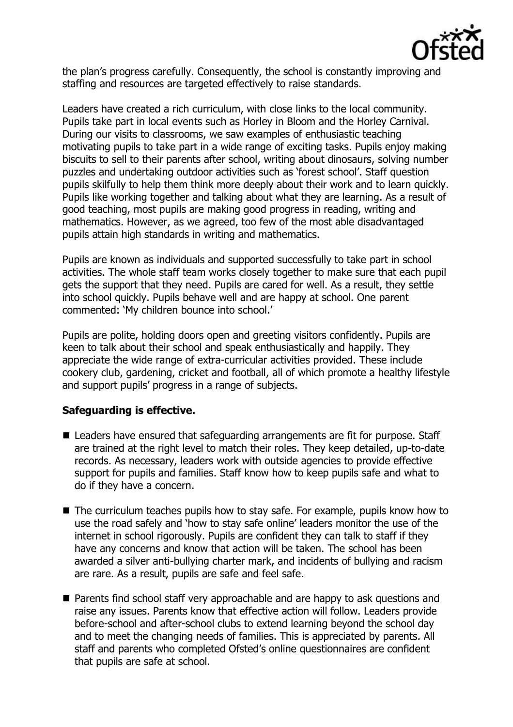

the plan's progress carefully. Consequently, the school is constantly improving and staffing and resources are targeted effectively to raise standards.

Leaders have created a rich curriculum, with close links to the local community. Pupils take part in local events such as Horley in Bloom and the Horley Carnival. During our visits to classrooms, we saw examples of enthusiastic teaching motivating pupils to take part in a wide range of exciting tasks. Pupils enjoy making biscuits to sell to their parents after school, writing about dinosaurs, solving number puzzles and undertaking outdoor activities such as 'forest school'. Staff question pupils skilfully to help them think more deeply about their work and to learn quickly. Pupils like working together and talking about what they are learning. As a result of good teaching, most pupils are making good progress in reading, writing and mathematics. However, as we agreed, too few of the most able disadvantaged pupils attain high standards in writing and mathematics.

Pupils are known as individuals and supported successfully to take part in school activities. The whole staff team works closely together to make sure that each pupil gets the support that they need. Pupils are cared for well. As a result, they settle into school quickly. Pupils behave well and are happy at school. One parent commented: 'My children bounce into school.'

Pupils are polite, holding doors open and greeting visitors confidently. Pupils are keen to talk about their school and speak enthusiastically and happily. They appreciate the wide range of extra-curricular activities provided. These include cookery club, gardening, cricket and football, all of which promote a healthy lifestyle and support pupils' progress in a range of subjects.

### **Safeguarding is effective.**

- Leaders have ensured that safeguarding arrangements are fit for purpose. Staff are trained at the right level to match their roles. They keep detailed, up-to-date records. As necessary, leaders work with outside agencies to provide effective support for pupils and families. Staff know how to keep pupils safe and what to do if they have a concern.
- The curriculum teaches pupils how to stay safe. For example, pupils know how to use the road safely and 'how to stay safe online' leaders monitor the use of the internet in school rigorously. Pupils are confident they can talk to staff if they have any concerns and know that action will be taken. The school has been awarded a silver anti-bullying charter mark, and incidents of bullying and racism are rare. As a result, pupils are safe and feel safe.
- Parents find school staff very approachable and are happy to ask questions and raise any issues. Parents know that effective action will follow. Leaders provide before-school and after-school clubs to extend learning beyond the school day and to meet the changing needs of families. This is appreciated by parents. All staff and parents who completed Ofsted's online questionnaires are confident that pupils are safe at school.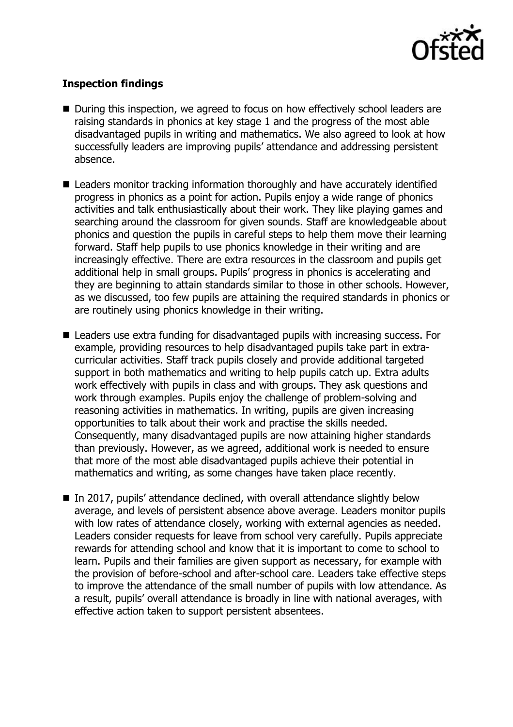

# **Inspection findings**

- During this inspection, we agreed to focus on how effectively school leaders are raising standards in phonics at key stage 1 and the progress of the most able disadvantaged pupils in writing and mathematics. We also agreed to look at how successfully leaders are improving pupils' attendance and addressing persistent absence.
- Leaders monitor tracking information thoroughly and have accurately identified progress in phonics as a point for action. Pupils enjoy a wide range of phonics activities and talk enthusiastically about their work. They like playing games and searching around the classroom for given sounds. Staff are knowledgeable about phonics and question the pupils in careful steps to help them move their learning forward. Staff help pupils to use phonics knowledge in their writing and are increasingly effective. There are extra resources in the classroom and pupils get additional help in small groups. Pupils' progress in phonics is accelerating and they are beginning to attain standards similar to those in other schools. However, as we discussed, too few pupils are attaining the required standards in phonics or are routinely using phonics knowledge in their writing.
- Leaders use extra funding for disadvantaged pupils with increasing success. For example, providing resources to help disadvantaged pupils take part in extracurricular activities. Staff track pupils closely and provide additional targeted support in both mathematics and writing to help pupils catch up. Extra adults work effectively with pupils in class and with groups. They ask questions and work through examples. Pupils enjoy the challenge of problem-solving and reasoning activities in mathematics. In writing, pupils are given increasing opportunities to talk about their work and practise the skills needed. Consequently, many disadvantaged pupils are now attaining higher standards than previously. However, as we agreed, additional work is needed to ensure that more of the most able disadvantaged pupils achieve their potential in mathematics and writing, as some changes have taken place recently.
- In 2017, pupils' attendance declined, with overall attendance slightly below average, and levels of persistent absence above average. Leaders monitor pupils with low rates of attendance closely, working with external agencies as needed. Leaders consider requests for leave from school very carefully. Pupils appreciate rewards for attending school and know that it is important to come to school to learn. Pupils and their families are given support as necessary, for example with the provision of before-school and after-school care. Leaders take effective steps to improve the attendance of the small number of pupils with low attendance. As a result, pupils' overall attendance is broadly in line with national averages, with effective action taken to support persistent absentees.